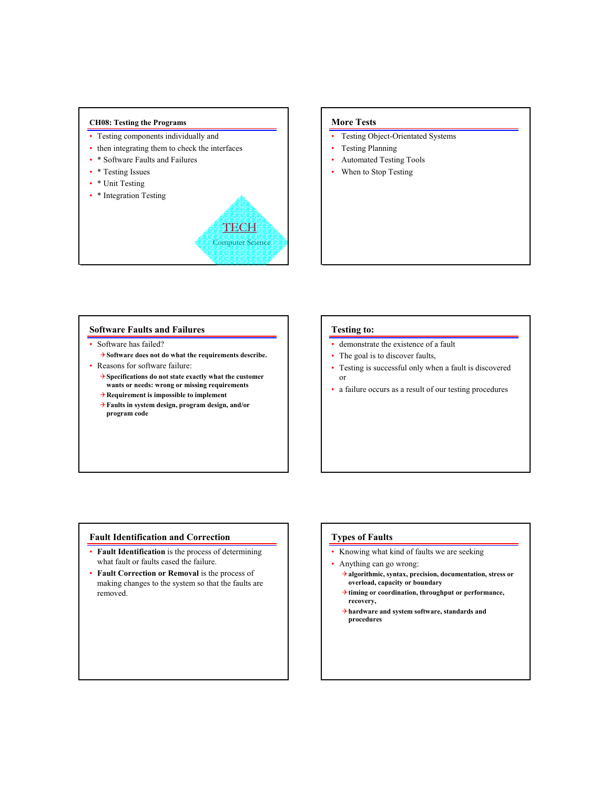#### **CH08: Testing the Programs**

- Testing components individually and
- then integrating them to check the interfaces
- \* Software Faults and Failures
- \* Testing Issues
- \* Unit Testing
- \* Integration Testing



### **More Tests**

- Testing Object-Orientated Systems
- Testing Planning
- Automated Testing Tools
- When to Stop Testing

#### **Software Faults and Failures**

- Software has failed?
	- 4**Software does not do what the requirements describe.**
- Reasons for software failure:
	- 4**Specifications do not state exactly what the customer wants or needs: wrong or missing requirements**
	- 4**Requirement is impossible to implement**
	- 4**Faults in system design, program design, and/or program code**

#### **Testing to:**

- demonstrate the existence of a fault
- The goal is to discover faults,
- Testing is successful only when a fault is discovered or
- a failure occurs as a result of our testing procedures

### **Fault Identification and Correction**

- **Fault Identification** is the process of determining what fault or faults cased the failure.
- **Fault Correction or Removal** is the process of making changes to the system so that the faults are removed.

# **Types of Faults**

- Knowing what kind of faults we are seeking
- Anything can go wrong:
	- 4**algorithmic, syntax, precision, documentation, stress or overload, capacity or boundary**
	- 4**timing or coordination, throughput or performance, recovery,**
	- 4**hardware and system software, standards and procedures**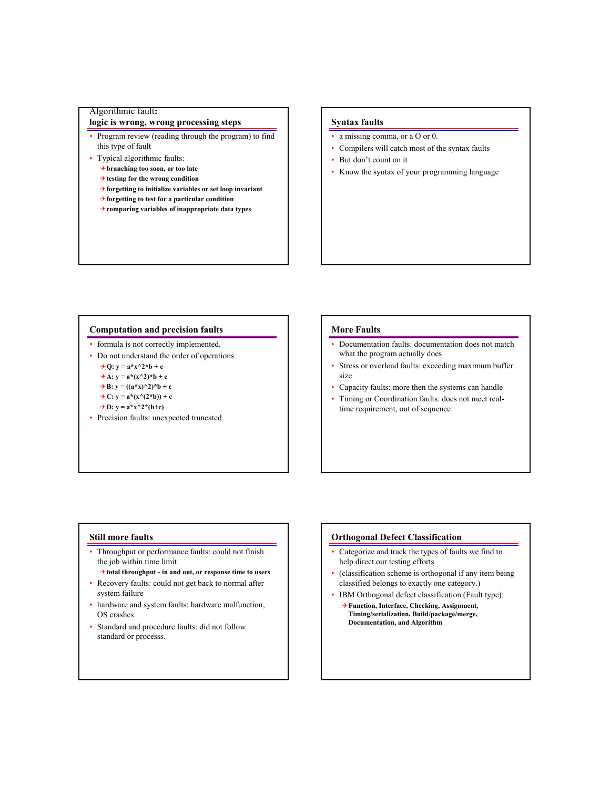## Algorithmic fault**:**

# **logic is wrong, wrong processing steps**

- Program review (reading through the program) to find this type of fault
- Typical algorithmic faults:
	- 4**branching too soon, or too late**
	- 4**testing for the wrong condition**
	- 4**forgetting to initialize variables or set loop invariant**
	- 4**forgetting to test for a particular condition**
	- 4**comparing variables of inappropriate data types**

## **Syntax faults**

- a missing comma, or a O or 0.
- Compilers will catch most of the syntax faults
- But don't count on it
- Know the syntax of your programming language

#### **Computation and precision faults**

- formula is not correctly implemented.
- Do not understand the order of operations
	- $\rightarrow Q$ :  $y = a * x^2 + b + c$
	- $\rightarrow$  A:  $y = a*(x^2)^*b + c$
	- $\rightarrow$  B: y =  $((a * x)^2)^*b + c$
	- $\overrightarrow{+C}:$  y = a\*(x^(2\*b)) + c
	- $\rightarrow$ D: y = a\*x^2\*(b+c)
- Precision faults: unexpected truncated

### **More Faults**

- Documentation faults: documentation does not match what the program actually does
- Stress or overload faults: exceeding maximum buffer size
- Capacity faults: more then the systems can handle
- Timing or Coordination faults: does not meet realtime requirement, out of sequence

#### **Still more faults**

- Throughput or performance faults: could not finish the job within time limit
	- 4**total throughput in and out, or response time to users**
- Recovery faults: could not get back to normal after system failure
- hardware and system faults: hardware malfunction, OS crashes.
- Standard and procedure faults: did not follow standard or processs.

#### **Orthogonal Defect Classification**

- Categorize and track the types of faults we find to help direct our testing efforts
- (classification scheme is orthogonal if any item being classified belongs to exactly one category.)
- IBM Orthogonal defect classification (Fault type):
	- 4**Function, Interface, Checking, Assignment, Timing/serialization, Build/package/merge, Documentation, and Algorithm**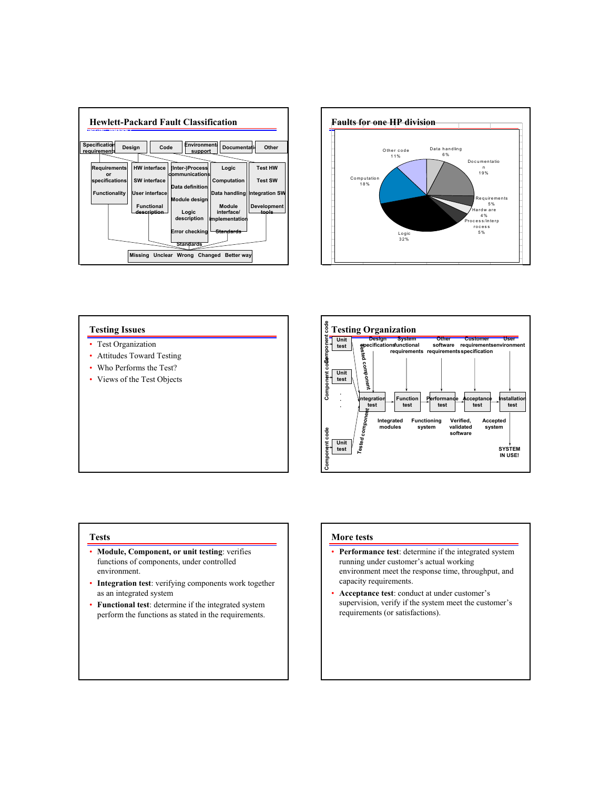



#### **Testing Issues**

- Test Organization
- Attitudes Toward Testing
- Who Performs the Test?
- Views of the Test Objects



#### **Tests**

- **Module, Component, or unit testing**: verifies functions of components, under controlled environment.
- **Integration test**: verifying components work together as an integrated system
- **Functional test**: determine if the integrated system perform the functions as stated in the requirements.

### **More tests**

- **Performance test**: determine if the integrated system running under customer's actual working environment meet the response time, throughput, and capacity requirements.
- **Acceptance test**: conduct at under customer's supervision, verify if the system meet the customer's requirements (or satisfactions).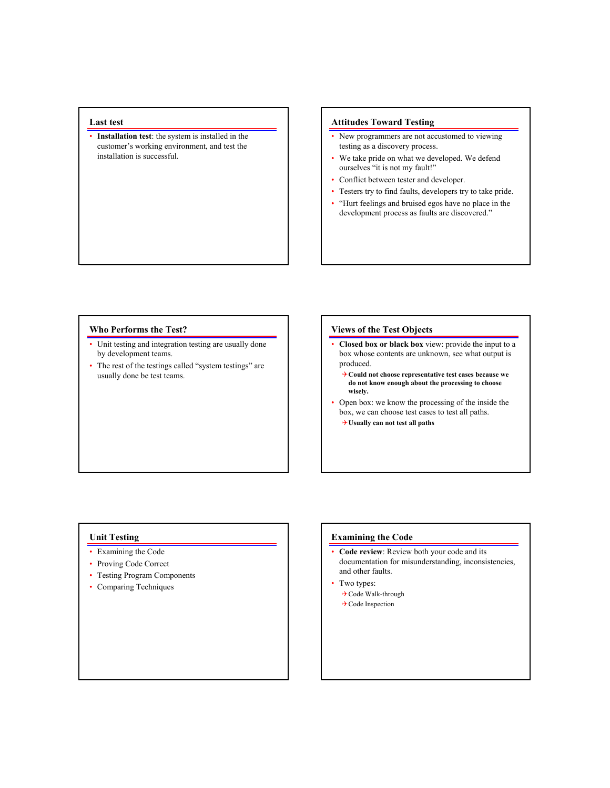### **Last test**

• **Installation test**: the system is installed in the customer's working environment, and test the installation is successful.

## **Attitudes Toward Testing**

- New programmers are not accustomed to viewing testing as a discovery process.
- We take pride on what we developed. We defend ourselves "it is not my fault!"
- Conflict between tester and developer.
- Testers try to find faults, developers try to take pride.
- "Hurt feelings and bruised egos have no place in the development process as faults are discovered."

#### **Who Performs the Test?**

- Unit testing and integration testing are usually done by development teams.
- The rest of the testings called "system testings" are usually done be test teams.

#### **Views of the Test Objects**

- **Closed box or black box** view: provide the input to a box whose contents are unknown, see what output is produced.
	- 4**Could not choose representative test cases because we do not know enough about the processing to choose wisely.**
- Open box: we know the processing of the inside the box, we can choose test cases to test all paths.
	- 4**Usually can not test all paths**

### **Unit Testing**

- Examining the Code
- Proving Code Correct
- Testing Program Components
- Comparing Techniques

#### **Examining the Code**

- **Code review**: Review both your code and its documentation for misunderstanding, inconsistencies, and other faults.
- Two types:
	- 4Code Walk-through
	- **→ Code Inspection**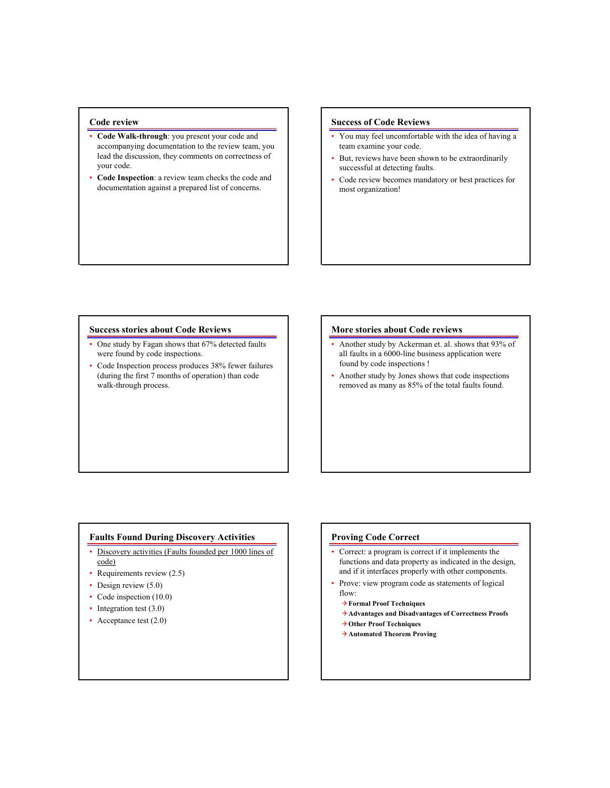## **Code review**

- **Code Walk-through**: you present your code and accompanying documentation to the review team, you lead the discussion, they comments on correctness of your code.
- **Code Inspection**: a review team checks the code and documentation against a prepared list of concerns.

### **Success of Code Reviews**

- You may feel uncomfortable with the idea of having a team examine your code.
- But, reviews have been shown to be extraordinarily successful at detecting faults.
- Code review becomes mandatory or best practices for most organization!

#### **Success stories about Code Reviews**

- One study by Fagan shows that 67% detected faults were found by code inspections.
- Code Inspection process produces 38% fewer failures (during the first 7 months of operation) than code walk-through process.

#### **More stories about Code reviews**

- Another study by Ackerman et. al. shows that 93% of all faults in a 6000-line business application were found by code inspections !
- Another study by Jones shows that code inspections removed as many as 85% of the total faults found.

### **Faults Found During Discovery Activities**

- Discovery activities (Faults founded per 1000 lines of code)
- Requirements review (2.5)
- Design review (5.0)
- Code inspection (10.0)
- Integration test (3.0)
- Acceptance test (2.0)

#### **Proving Code Correct**

- Correct: a program is correct if it implements the functions and data property as indicated in the design, and if it interfaces properly with other components.
- Prove: view program code as statements of logical flow:
	- 4**Formal Proof Techniques**
	- 4**Advantages and Disadvantages of Correctness Proofs**
	- 4**Other Proof Techniques**
	- 4**Automated Theorem Proving**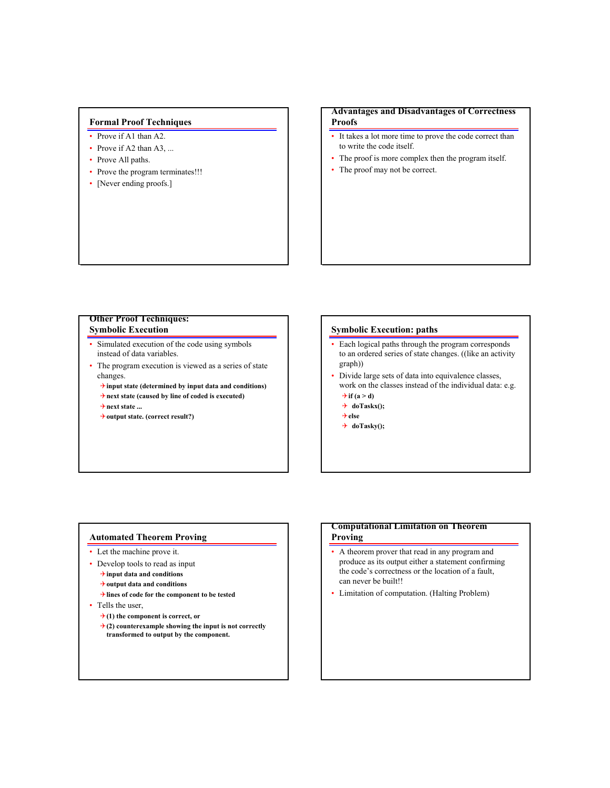## **Formal Proof Techniques**

- Prove if A1 than A2.
- Prove if A2 than A3, ...
- Prove All paths.
- Prove the program terminates!!!
- [Never ending proofs.]

## **Advantages and Disadvantages of Correctness Proofs**

- It takes a lot more time to prove the code correct than to write the code itself.
- The proof is more complex then the program itself.
- The proof may not be correct.

### **Other Proof Techniques: Symbolic Execution**

- Simulated execution of the code using symbols instead of data variables.
- The program execution is viewed as a series of state changes.
	- 4**input state (determined by input data and conditions)**
	- 4**next state (caused by line of coded is executed)**
	- 4**next state ...**
	- 4**output state. (correct result?)**

### **Symbolic Execution: paths**

- Each logical paths through the program corresponds to an ordered series of state changes. ((like an activity graph))
- Divide large sets of data into equivalence classes, work on the classes instead of the individual data: e.g.  $\rightarrow$  if (a > d)
	- 4 **doTaskx();**
	- 4**else**
	- 4 **doTasky();**

### **Automated Theorem Proving**

- Let the machine prove it.
- Develop tools to read as input
	- 4**input data and conditions**
	- 4**output data and conditions**
	- 4**lines of code for the component to be tested**
- Tells the user,
	- $\rightarrow$  (1) the component is correct, or
	- 4**(2) counterexample showing the input is not correctly transformed to output by the component.**

### **Computational Limitation on Theorem Proving**

- A theorem prover that read in any program and produce as its output either a statement confirming the code's correctness or the location of a fault, can never be built!!
- Limitation of computation. (Halting Problem)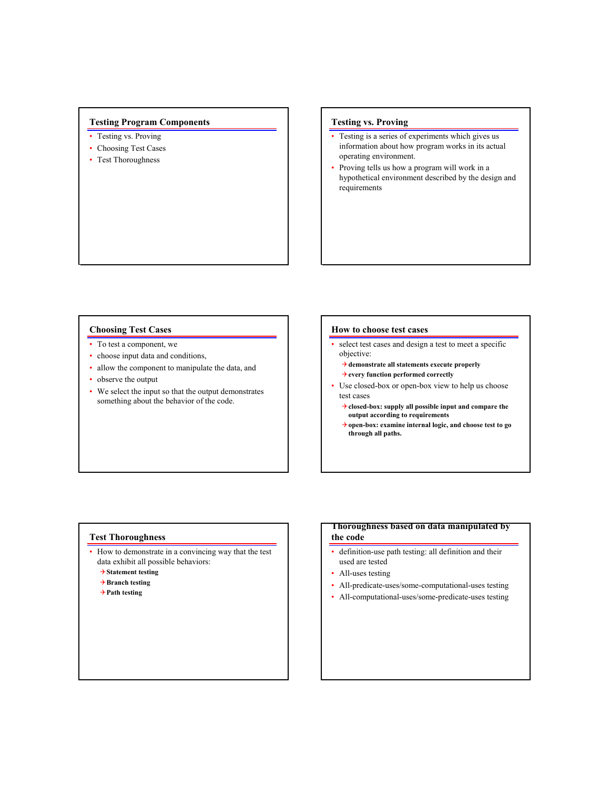## **Testing Program Components**

- Testing vs. Proving
- Choosing Test Cases
- Test Thoroughness

## **Testing vs. Proving**

- Testing is a series of experiments which gives us information about how program works in its actual operating environment.
- Proving tells us how a program will work in a hypothetical environment described by the design and requirements

#### **Choosing Test Cases**

- To test a component, we
- choose input data and conditions,
- allow the component to manipulate the data, and
- observe the output
- We select the input so that the output demonstrates something about the behavior of the code.

#### **How to choose test cases**

- select test cases and design a test to meet a specific objective:
	- 4**demonstrate all statements execute properly**
	- 4**every function performed correctly**
- Use closed-box or open-box view to help us choose test cases
	- 4**closed-box: supply all possible input and compare the output according to requirements**
	- 4**open-box: examine internal logic, and choose test to go through all paths.**

#### **Test Thoroughness**

- How to demonstrate in a convincing way that the test data exhibit all possible behaviors:
	- 4**Statement testing**
	- 4**Branch testing**
	- 4**Path testing**

### **Thoroughness based on data manipulated by the code**

- definition-use path testing: all definition and their used are tested
- All-uses testing
- All-predicate-uses/some-computational-uses testing
- All-computational-uses/some-predicate-uses testing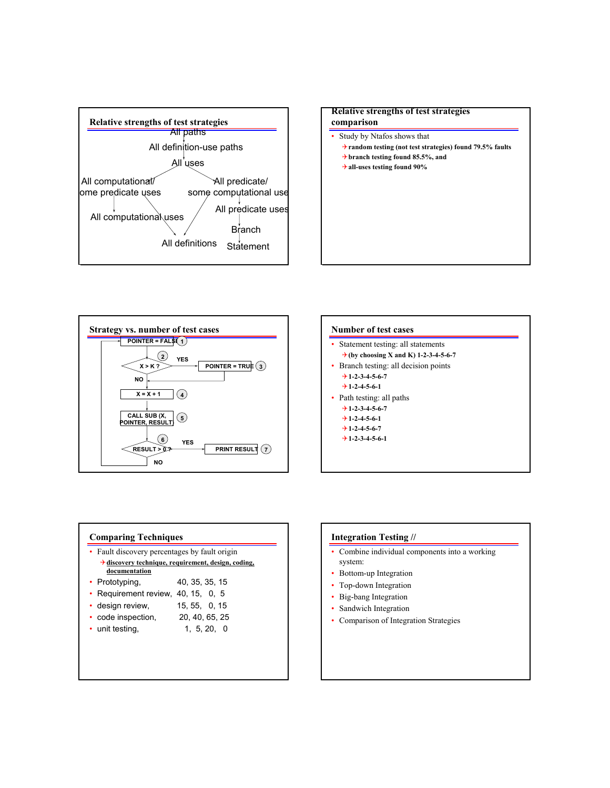







#### **Comparing Techniques**

- Fault discovery percentages by fault origin 4**discovery technique, requirement, design, coding, documentation**
- Prototyping, 40, 35, 35, 15
- Requirement review, 40, 15, 0, 5
- design review, 15, 55, 0, 15
- code inspection, 20, 40, 65, 25
- unit testing, 1, 5, 20, 0

#### **Integration Testing //**

- Combine individual components into a working system:
- Bottom-up Integration
- Top-down Integration
- Big-bang Integration
- Sandwich Integration
- Comparison of Integration Strategies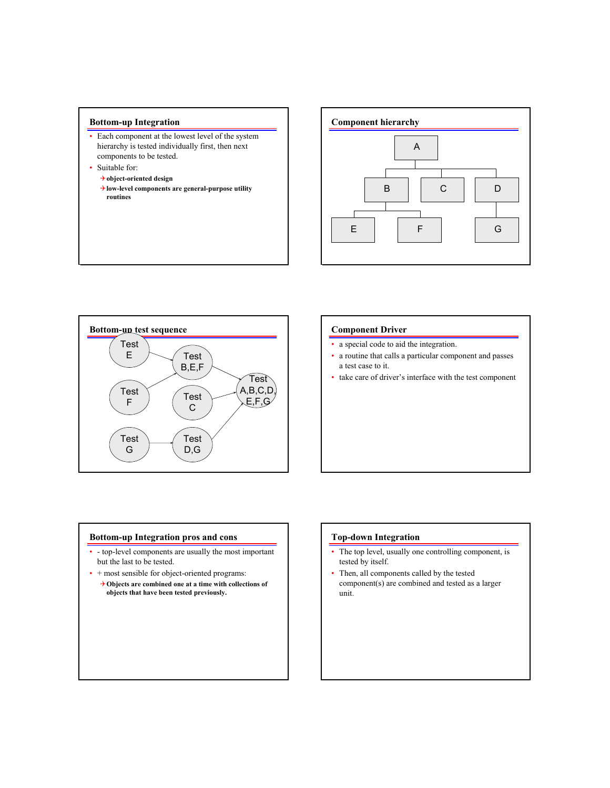### **Bottom-up Integration**

- Each component at the lowest level of the system hierarchy is tested individually first, then next components to be tested.
- Suitable for:
	- 4**object-oriented design**
	- 4**low-level components are general-purpose utility routines**





#### **Component Driver**

- a special code to aid the integration.
- a routine that calls a particular component and passes a test case to it.
- take care of driver's interface with the test component

#### **Bottom-up Integration pros and cons**

- - top-level components are usually the most important but the last to be tested.
- + most sensible for object-oriented programs:
- 4**Objects are combined one at a time with collections of objects that have been tested previously.**

### **Top-down Integration**

- The top level, usually one controlling component, is tested by itself.
- Then, all components called by the tested component(s) are combined and tested as a larger unit.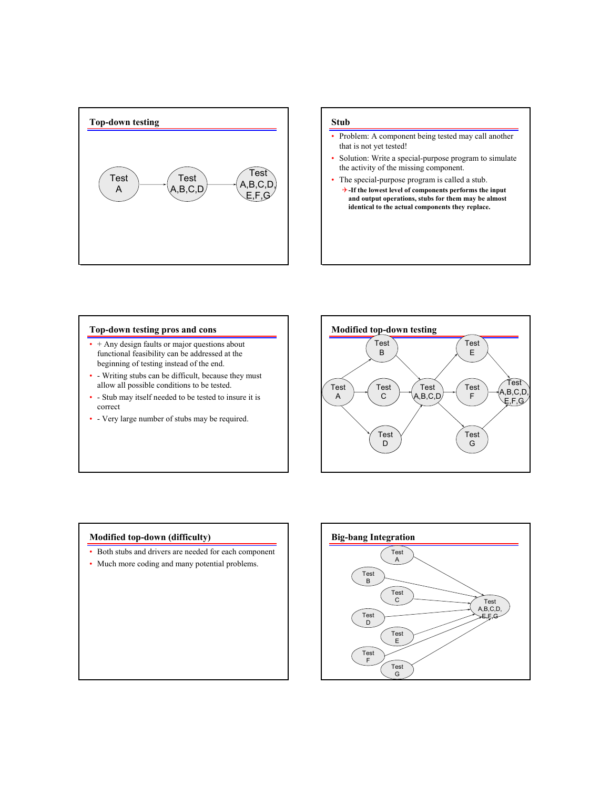

## **Stub**

- Problem: A component being tested may call another that is not yet tested!
- Solution: Write a special-purpose program to simulate the activity of the missing component.
- The special-purpose program is called a stub. 4**-If the lowest level of components performs the input and output operations, stubs for them may be almost identical to the actual components they replace.**

#### **Top-down testing pros and cons**

- + Any design faults or major questions about functional feasibility can be addressed at the beginning of testing instead of the end.
- - Writing stubs can be difficult, because they must allow all possible conditions to be tested.
- - Stub may itself needed to be tested to insure it is correct
- - Very large number of stubs may be required.



### **Modified top-down (difficulty)**

- Both stubs and drivers are needed for each component
- Much more coding and many potential problems.

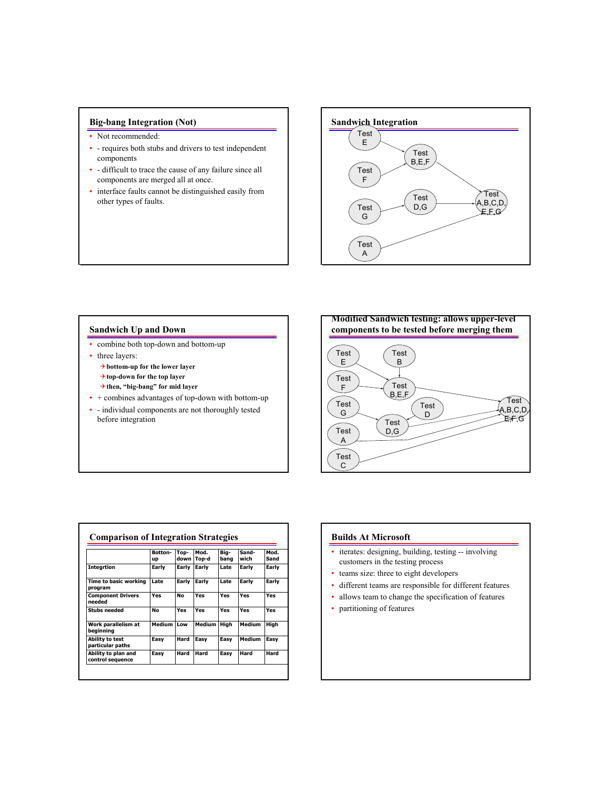## **Big-bang Integration (Not)**

- Not recommended:
- - requires both stubs and drivers to test independent components
- - difficult to trace the cause of any failure since all components are merged all at once.
- interface faults cannot be distinguished easily from other types of faults.



## **Sandwich Up and Down**

- combine both top-down and bottom-up
- three layers:
	- 4**bottom-up for the lower layer**
	- 4**top-down for the top layer**
	- 4**then, "big-bang" for mid layer**
- + combines advantages of top-down with bottom-up
- - individual components are not thoroughly tested before integration



|                                         | Botton-<br>up | Top-<br>down | Mod.<br>Top-d | Big-<br>bang | Sand-<br>wich | Mod.<br>Sand |
|-----------------------------------------|---------------|--------------|---------------|--------------|---------------|--------------|
| <b>Integrtion</b>                       | Early         | Early        | Early         | Late         | Early         | Early        |
| Time to basic working<br>program        | Late          | Early        | Early         | Late         | Early         | Early        |
| <b>Component Drivers</b><br>needed      | Yes           | No           | Yes           | Yes          | Yes           | Yes          |
| <b>Stubs needed</b>                     | No            | Yes          | Yes           | Yes          | Yes           | Yes          |
| Work parallelism at<br>beainnina        | Medium        | Low          | Medium        | High         | Medium        | Hiah         |
| Ability to test<br>particular paths     | Easy          | Hard         | Easy          | Easy         | Medium        | Easy         |
| Ability to plan and<br>control sequence | Easy          | Hard         | Hard          | Easv         | Hard          | Hard         |

## **Builds At Microsoft**

- iterates: designing, building, testing -- involving customers in the testing process
- teams size: three to eight developers
- different teams are responsible for different features
- allows team to change the specification of features
- partitioning of features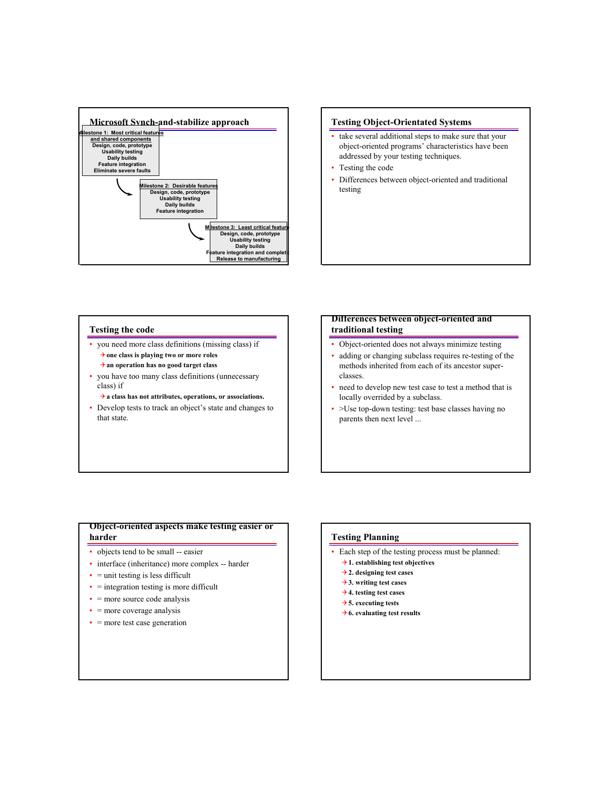



### **Testing the code**

- you need more class definitions (missing class) if 4**one class is playing two or more roles** 4**an operation has no good target class**
- you have too many class definitions (unnecessary class) if
	- 4**a class has not attributes, operations, or associations.**
- Develop tests to track an object's state and changes to that state.

## **Differences between object-oriented and traditional testing**

- Object-oriented does not always minimize testing
- adding or changing subclass requires re-testing of the methods inherited from each of its ancestor superclasses.
- need to develop new test case to test a method that is locally overrided by a subclass.
- >Use top-down testing: test base classes having no parents then next level ...

## **Object-oriented aspects make testing easier or harder**

- objects tend to be small -- easier
- interface (inheritance) more complex -- harder
- $\bullet$  = unit testing is less difficult
- $\bullet$  = integration testing is more difficult
- $\bullet$  = more source code analysis
- = more coverage analysis
- $\bullet$  = more test case generation

### **Testing Planning**

- Each step of the testing process must be planned:
	- 4**1. establishing test objectives**
	- 4**2. designing test cases**
	- 4**3. writing test cases**
	- 4**4. testing test cases**
	- 4**5. executing tests**
	- 4**6. evaluating test results**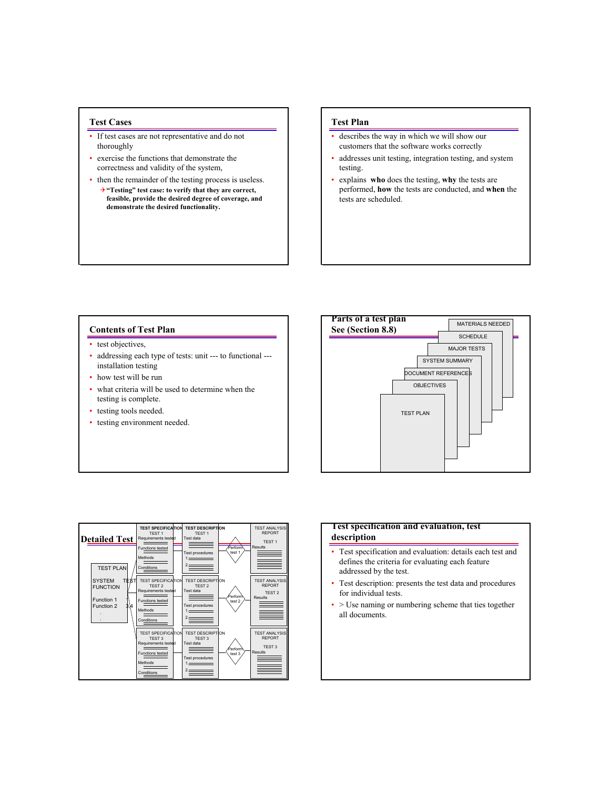### **Test Cases**

- If test cases are not representative and do not thoroughly
- exercise the functions that demonstrate the correctness and validity of the system,
- then the remainder of the testing process is useless. 4**"Testing" test case: to verify that they are correct, feasible, provide the desired degree of coverage, and demonstrate the desired functionality.**

## **Test Plan**

- describes the way in which we will show our customers that the software works correctly
- addresses unit testing, integration testing, and system testing.
- explains **who** does the testing, **why** the tests are performed, **how** the tests are conducted, and **when** the tests are scheduled.

## **Contents of Test Plan**

- test objectives,
- addressing each type of tests: unit --- to functional --installation testing
- how test will be run
- what criteria will be used to determine when the testing is complete.
- testing tools needed.
- testing environment needed.





### **Test specification and evaluation, test description**

- Test specification and evaluation: details each test and defines the criteria for evaluating each feature addressed by the test.
- Test description: presents the test data and procedures for individual tests.
- > Use naming or numbering scheme that ties together all documents.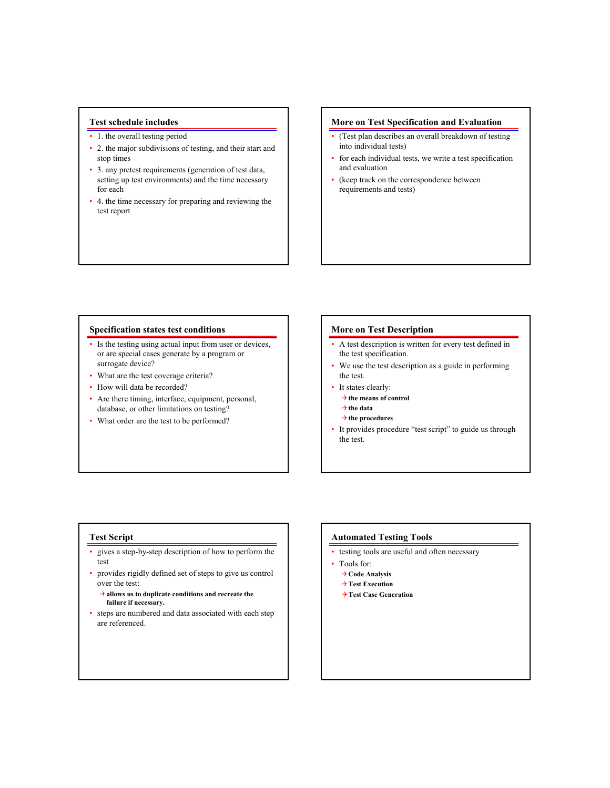### **Test schedule includes**

- 1. the overall testing period
- 2. the major subdivisions of testing, and their start and stop times
- 3. any pretest requirements (generation of test data, setting up test environments) and the time necessary for each
- 4. the time necessary for preparing and reviewing the test report

### **More on Test Specification and Evaluation**

- (Test plan describes an overall breakdown of testing into individual tests)
- for each individual tests, we write a test specification and evaluation
- (keep track on the correspondence between requirements and tests)

#### **Specification states test conditions**

- Is the testing using actual input from user or devices, or are special cases generate by a program or surrogate device?
- What are the test coverage criteria?
- How will data be recorded?
- Are there timing, interface, equipment, personal, database, or other limitations on testing?
- What order are the test to be performed?

#### **More on Test Description**

- A test description is written for every test defined in the test specification.
- We use the test description as a guide in performing the test.
- It states clearly:
	- 4**the means of control**
	- 4**the data**
	- 4**the procedures**
- It provides procedure "test script" to guide us through the test.

#### **Test Script**

- gives a step-by-step description of how to perform the test
- provides rigidly defined set of steps to give us control over the test:

4**allows us to duplicate conditions and recreate the failure if necessary.**

• steps are numbered and data associated with each step are referenced.

#### **Automated Testing Tools**

- testing tools are useful and often necessary
- Tools for:
	- 4**Code Analysis**
	- 4**Test Execution**
	- 4**Test Case Generation**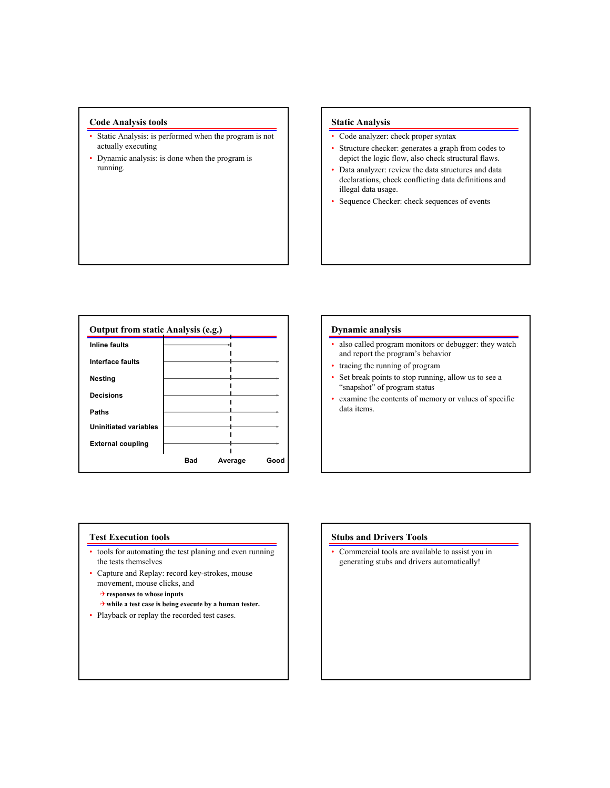## **Code Analysis tools**

- Static Analysis: is performed when the program is not actually executing
- Dynamic analysis: is done when the program is running.

### **Static Analysis**

- Code analyzer: check proper syntax
- Structure checker: generates a graph from codes to depict the logic flow, also check structural flaws.
- Data analyzer: review the data structures and data declarations, check conflicting data definitions and illegal data usage.
- Sequence Checker: check sequences of events

| <b>Inline faults</b>         |     |         |      |
|------------------------------|-----|---------|------|
| Interface faults             |     |         |      |
| <b>Nesting</b>               |     |         |      |
| <b>Decisions</b>             |     |         |      |
| Paths                        |     |         |      |
| <b>Uninitiated variables</b> |     |         |      |
| <b>External coupling</b>     |     |         |      |
|                              | Bad | Average | Good |

#### **Dynamic analysis**

- also called program monitors or debugger: they watch and report the program's behavior
- tracing the running of program
- Set break points to stop running, allow us to see a "snapshot" of program status
- examine the contents of memory or values of specific data items.

### **Test Execution tools**

- tools for automating the test planing and even running the tests themselves
- Capture and Replay: record key-strokes, mouse movement, mouse clicks, and
	- 4**responses to whose inputs**
	- 4**while a test case is being execute by a human tester.**
- Playback or replay the recorded test cases.

### **Stubs and Drivers Tools**

• Commercial tools are available to assist you in generating stubs and drivers automatically!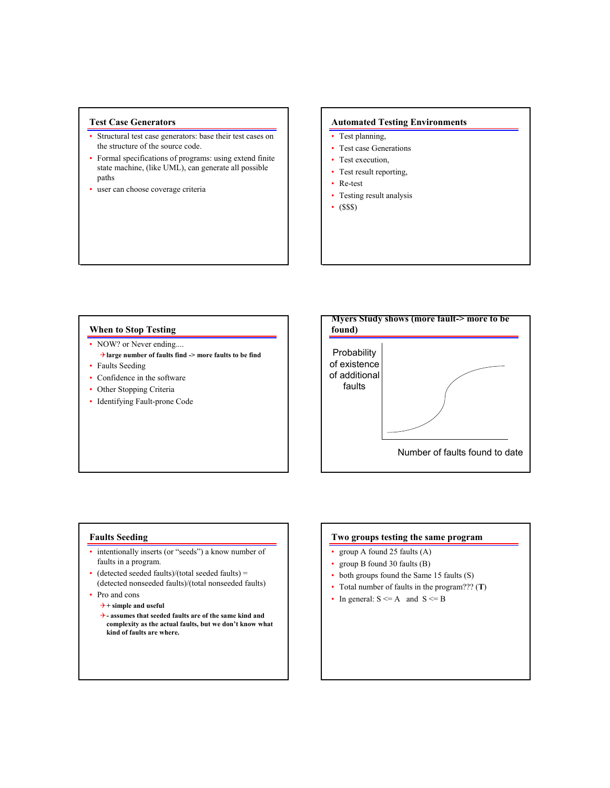## **Test Case Generators**

- Structural test case generators: base their test cases on the structure of the source code.
- Formal specifications of programs: using extend finite state machine, (like UML), can generate all possible paths
- user can choose coverage criteria

## **Automated Testing Environments**

- Test planning,
- Test case Generations
- Test execution,
- Test result reporting,
- Re-test
- Testing result analysis
- $\cdot$  (SSS)

#### **When to Stop Testing**

- NOW? or Never ending.... 4**large number of faults find -> more faults to be find**
- Faults Seeding
- Confidence in the software
- Other Stopping Criteria
- Identifying Fault-prone Code



### **Faults Seeding**

- intentionally inserts (or "seeds") a know number of faults in a program.
- (detected seeded faults)/(total seeded faults) = (detected nonseeded faults)/(total nonseeded faults)
- Pro and cons
	- 4**+ simple and useful**
	- 4 **assumes that seeded faults are of the same kind and complexity as the actual faults, but we don't know what kind of faults are where.**

## **Two groups testing the same program**

- group A found 25 faults (A)
- group B found 30 faults (B)
- both groups found the Same 15 faults (S)
- Total number of faults in the program??? (**T**)
- In general:  $S \leq A$  and  $S \leq B$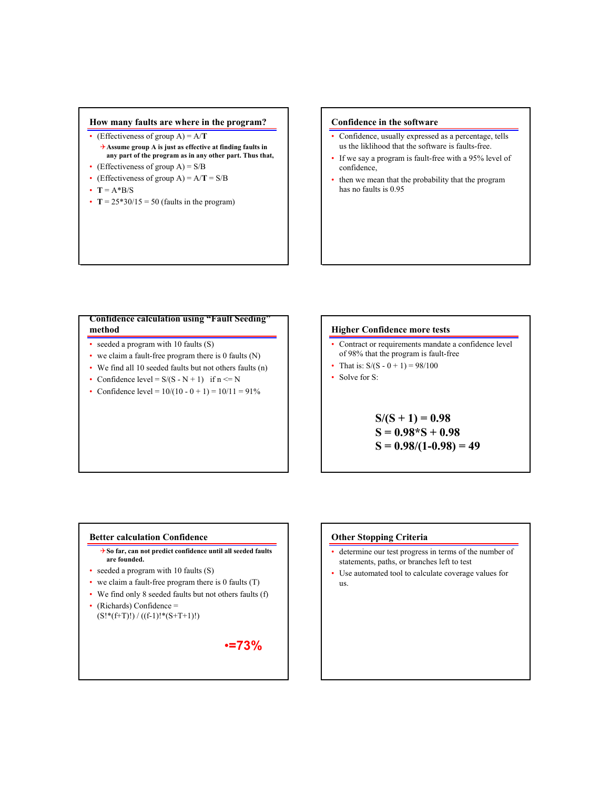### **How many faults are where in the program?**

- (Effectiveness of group  $A$ ) =  $A/T$ 
	- 4**Assume group A is just as effective at finding faults in any part of the program as in any other part. Thus that,**
- (Effectiveness of group  $A$ ) =  $S/B$
- (Effectiveness of group  $A$ ) =  $A/T = S/B$
- $T = A*B/S$
- $T = 25*30/15 = 50$  (faults in the program)

### **Confidence in the software**

- Confidence, usually expressed as a percentage, tells us the liklihood that the software is faults-free.
- If we say a program is fault-free with a 95% level of confidence,
- then we mean that the probability that the program has no faults is 0.95

#### **Confidence calculation using "Fault Seeding" method**

- seeded a program with 10 faults (S)
- we claim a fault-free program there is 0 faults (N)
- We find all 10 seeded faults but not others faults (n)
- Confidence level =  $S/(S N + 1)$  if  $n \le N$
- Confidence level =  $10/(10 0 + 1) = 10/11 = 91\%$

### **Higher Confidence more tests**

- Contract or requirements mandate a confidence level of 98% that the program is fault-free
- That is:  $S/(S 0 + 1) = 98/100$
- Solve for S:

**S/(S + 1) = 0.98 S = 0.98\*S + 0.98 S = 0.98/(1-0.98) = 49**

#### **Better calculation Confidence**

- 4**So far, can not predict confidence until all seeded faults are founded.**
- seeded a program with 10 faults (S)
- we claim a fault-free program there is 0 faults (T)
- We find only 8 seeded faults but not others faults (f)
- $(Richards)$  Confidence =  $(S!*(f+T)!)/( (f-1)!*(S+T+1)!)$

•**=73%**

#### **Other Stopping Criteria**

- determine our test progress in terms of the number of statements, paths, or branches left to test
- Use automated tool to calculate coverage values for us.